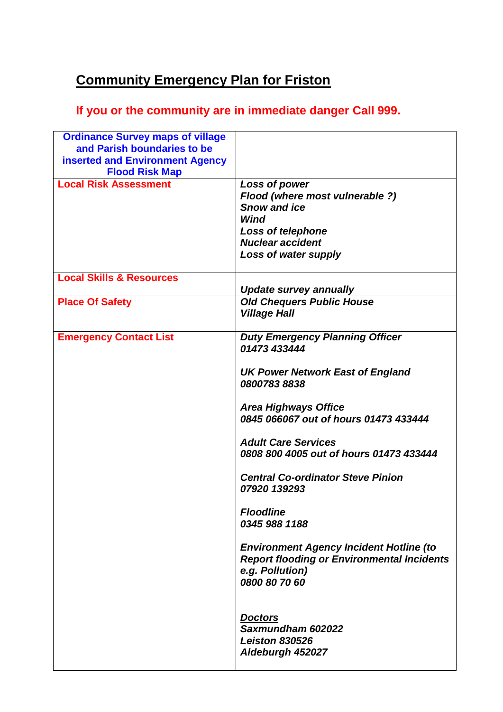## **Community Emergency Plan for Friston**

## **If you or the community are in immediate danger Call 999.**

| <b>Ordinance Survey maps of village</b> |                                                   |
|-----------------------------------------|---------------------------------------------------|
| and Parish boundaries to be             |                                                   |
| <b>inserted and Environment Agency</b>  |                                                   |
| <b>Flood Risk Map</b>                   |                                                   |
| <b>Local Risk Assessment</b>            | Loss of power                                     |
|                                         | Flood (where most vulnerable ?)                   |
|                                         | <b>Snow and ice</b>                               |
|                                         | Wind                                              |
|                                         | <b>Loss of telephone</b>                          |
|                                         | <b>Nuclear accident</b>                           |
|                                         | Loss of water supply                              |
| <b>Local Skills &amp; Resources</b>     |                                                   |
|                                         | <b>Update survey annually</b>                     |
| <b>Place Of Safety</b>                  | <b>Old Chequers Public House</b>                  |
|                                         | <b>Village Hall</b>                               |
|                                         |                                                   |
| <b>Emergency Contact List</b>           | <b>Duty Emergency Planning Officer</b>            |
|                                         | 01473 433444                                      |
|                                         | <b>UK Power Network East of England</b>           |
|                                         | 08007838838                                       |
|                                         |                                                   |
|                                         | <b>Area Highways Office</b>                       |
|                                         | 0845 066067 out of hours 01473 433444             |
|                                         |                                                   |
|                                         | <b>Adult Care Services</b>                        |
|                                         | 0808 800 4005 out of hours 01473 433444           |
|                                         | <b>Central Co-ordinator Steve Pinion</b>          |
|                                         | 07920 139293                                      |
|                                         |                                                   |
|                                         | <b>Floodline</b>                                  |
|                                         | 0345 988 1188                                     |
|                                         |                                                   |
|                                         | <b>Environment Agency Incident Hotline (to</b>    |
|                                         | <b>Report flooding or Environmental Incidents</b> |
|                                         | e.g. Pollution)                                   |
|                                         | 0800 80 70 60                                     |
|                                         |                                                   |
|                                         | <b>Doctors</b>                                    |
|                                         | Saxmundham 602022                                 |
|                                         | <b>Leiston 830526</b>                             |
|                                         | Aldeburgh 452027                                  |
|                                         |                                                   |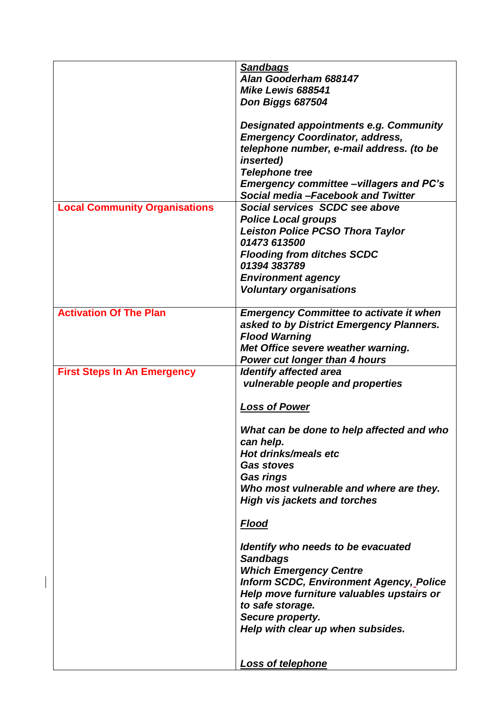|                                      | <b>Sandbags</b>                                |
|--------------------------------------|------------------------------------------------|
|                                      | Alan Gooderham 688147                          |
|                                      |                                                |
|                                      | Mike Lewis 688541                              |
|                                      | Don Biggs 687504                               |
|                                      |                                                |
|                                      | Designated appointments e.g. Community         |
|                                      | <b>Emergency Coordinator, address,</b>         |
|                                      |                                                |
|                                      | telephone number, e-mail address. (to be       |
|                                      | <i>inserted</i> )                              |
|                                      | <b>Telephone tree</b>                          |
|                                      | <b>Emergency committee-villagers and PC's</b>  |
|                                      | Social media-Facebook and Twitter              |
|                                      |                                                |
| <b>Local Community Organisations</b> | Social services SCDC see above                 |
|                                      | <b>Police Local groups</b>                     |
|                                      | <b>Leiston Police PCSO Thora Taylor</b>        |
|                                      | 01473 613500                                   |
|                                      | <b>Flooding from ditches SCDC</b>              |
|                                      | 01394 383789                                   |
|                                      |                                                |
|                                      | <b>Environment agency</b>                      |
|                                      | <b>Voluntary organisations</b>                 |
|                                      |                                                |
| <b>Activation Of The Plan</b>        | <b>Emergency Committee to activate it when</b> |
|                                      | asked to by District Emergency Planners.       |
|                                      |                                                |
|                                      | <b>Flood Warning</b>                           |
|                                      | Met Office severe weather warning.             |
|                                      | <b>Power cut longer than 4 hours</b>           |
|                                      |                                                |
|                                      |                                                |
| <b>First Steps In An Emergency</b>   | <b>Identify affected area</b>                  |
|                                      | vulnerable people and properties               |
|                                      |                                                |
|                                      | <b>Loss of Power</b>                           |
|                                      |                                                |
|                                      | What can be done to help affected and who      |
|                                      |                                                |
|                                      | can help.                                      |
|                                      | Hot drinks/meals etc                           |
|                                      | <b>Gas stoves</b>                              |
|                                      | <b>Gas rings</b>                               |
|                                      | Who most vulnerable and where are they.        |
|                                      | <b>High vis jackets and torches</b>            |
|                                      |                                                |
|                                      |                                                |
|                                      | <u>Flood</u>                                   |
|                                      |                                                |
|                                      | Identify who needs to be evacuated             |
|                                      | <b>Sandbags</b>                                |
|                                      | <b>Which Emergency Centre</b>                  |
|                                      | <b>Inform SCDC, Environment Agency, Police</b> |
|                                      |                                                |
|                                      | Help move furniture valuables upstairs or      |
|                                      | to safe storage.                               |
|                                      | Secure property.                               |
|                                      | Help with clear up when subsides.              |
|                                      |                                                |
|                                      |                                                |
|                                      | <b>Loss of telephone</b>                       |

 $\begin{array}{c} \rule{0pt}{2.5ex} \rule{0pt}{2.5ex} \rule{0pt}{2.5ex} \rule{0pt}{2.5ex} \rule{0pt}{2.5ex} \rule{0pt}{2.5ex} \rule{0pt}{2.5ex} \rule{0pt}{2.5ex} \rule{0pt}{2.5ex} \rule{0pt}{2.5ex} \rule{0pt}{2.5ex} \rule{0pt}{2.5ex} \rule{0pt}{2.5ex} \rule{0pt}{2.5ex} \rule{0pt}{2.5ex} \rule{0pt}{2.5ex} \rule{0pt}{2.5ex} \rule{0pt}{2.5ex} \rule{0pt}{2.5ex} \rule{0$